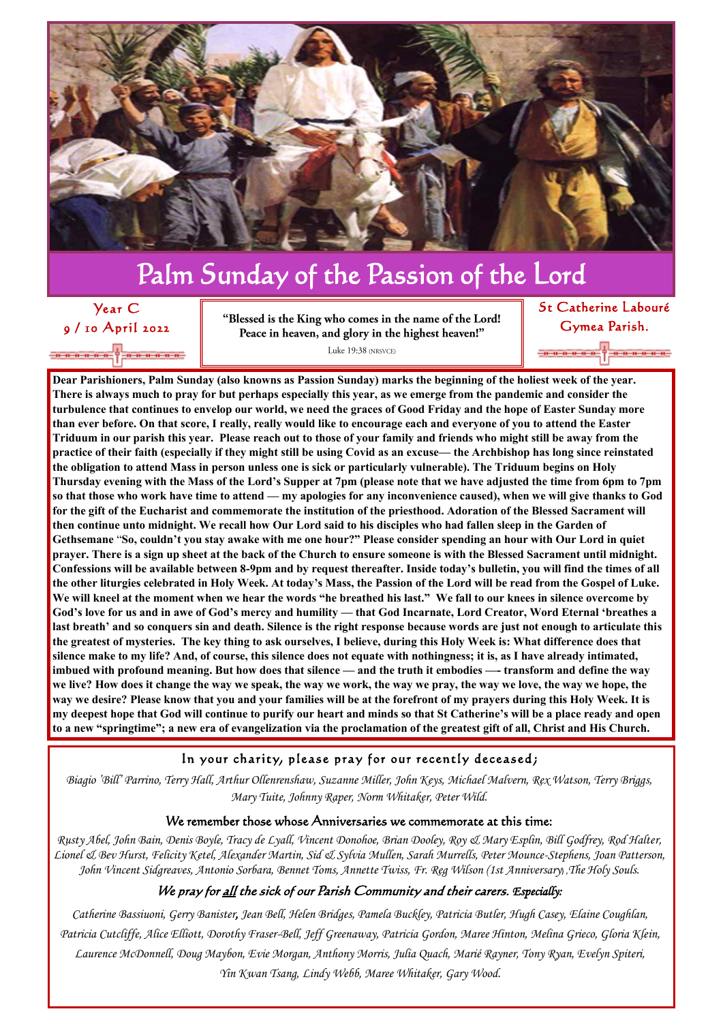**Dear Parishioners, Palm Sunday (also knowns as Passion Sunday) marks the beginning of the holiest week of the year. There is always much to pray for but perhaps especially this year, as we emerge from the pandemic and consider the turbulence that continues to envelop our world, we need the graces of Good Friday and the hope of Easter Sunday more than ever before. On that score, I really, really would like to encourage each and everyone of you to attend the Easter Triduum in our parish this year. Please reach out to those of your family and friends who might still be away from the practice of their faith (especially if they might still be using Covid as an excuse— the Archbishop has long since reinstated the obligation to attend Mass in person unless one is sick or particularly vulnerable). The Triduum begins on Holy Thursday evening with the Mass of the Lord's Supper at 7pm (please note that we have adjusted the time from 6pm to 7pm so that those who work have time to attend — my apologies for any inconvenience caused), when we will give thanks to God for the gift of the Eucharist and commemorate the institution of the priesthood. Adoration of the Blessed Sacrament will then continue unto midnight. We recall how Our Lord said to his disciples who had fallen sleep in the Garden of Gethsemane** "**So, couldn't you stay awake with me one hour?" Please consider spending an hour with Our Lord in quiet prayer. There is a sign up sheet at the back of the Church to ensure someone is with the Blessed Sacrament until midnight. Confessions will be available between 8-9pm and by request thereafter. Inside today's bulletin, you will find the times of all the other liturgies celebrated in Holy Week. At today's Mass, the Passion of the Lord will be read from the Gospel of Luke. We will kneel at the moment when we hear the words "he breathed his last." We fall to our knees in silence overcome by God's love for us and in awe of God's mercy and humility — that God Incarnate, Lord Creator, Word Eternal 'breathes a last breath' and so conquers sin and death. Silence is the right response because words are just not enough to articulate this the greatest of mysteries. The key thing to ask ourselves, I believe, during this Holy Week is: What difference does that silence make to my life? And, of course, this silence does not equate with nothingness; it is, as I have already intimated, imbued with profound meaning. But how does that silence — and the truth it embodies —- transform and define the way we live? How does it change the way we speak, the way we work, the way we pray, the way we love, the way we hope, the way we desire? Please know that you and your families will be at the forefront of my prayers during this Holy Week. It is my deepest hope that God will continue to purify our heart and minds so that St Catherine's will be a place ready and open to a new "springtime"; a new era of evangelization via the proclamation of the greatest gift of all, Christ and His Church.** 

In your charity, please pray for our recently deceased;

*Biagio 'Bill' Parrino, Terry Hall, Arthur Ollenrenshaw, Suzanne Miller, John Keys, Michael Malvern, Rex Watson, Terry Briggs, Mary Tuite, Johnny Raper, Norm Whitaker, Peter Wild.*

#### We remember those whose Anniversaries we commemorate at this time:

*Rusty Abel, John Bain, Denis Boyle, Tracy de Lyall, Vincent Donohoe, Brian Dooley, Roy & Mary Esplin, Bill Godfrey, Rod Halter, Lionel & Bev Hurst, Felicity Ketel, Alexander Martin, Sid & Sylvia Mullen, Sarah Murrells, Peter Mounce-Stephens, Joan Patterson, John Vincent Sidgreaves, Antonio Sorbara, Bennet Toms, Annette Twiss, Fr. Reg Wilson (1st Anniversary*) ,*The Holy Souls.*

#### We pray for <u>all</u> the sick of our Parish Community and their carers. *Especially*:

*Catherine Bassiuoni, Gerry Banister, Jean Bell, Helen Bridges, Pamela Buckley, Patricia Butler, Hugh Casey, Elaine Coughlan, Patricia Cutcliffe, Alice Elliott, Dorothy Fraser-Bell, Jeff Greenaway, Patricia Gordon, Maree Hinton, Melina Grieco, Gloria Klein, Laurence McDonnell, Doug Maybon, Evie Morgan, Anthony Morris, Julia Quach, Marié Rayner, Tony Ryan, Evelyn Spiteri, Yin Kwan Tsang, Lindy Webb, Maree Whitaker, Gary Wood.*

# Palm Sunday of the Passion of the Lord

## Year C 9 / 10 April 2022

"Blessed is the King who comes in the name of the Lord! Peace in heaven, and glory in the highest heaven!"

Luke 19:38 (NRSVCE)

St Catherine Labouré Gymea Parish.

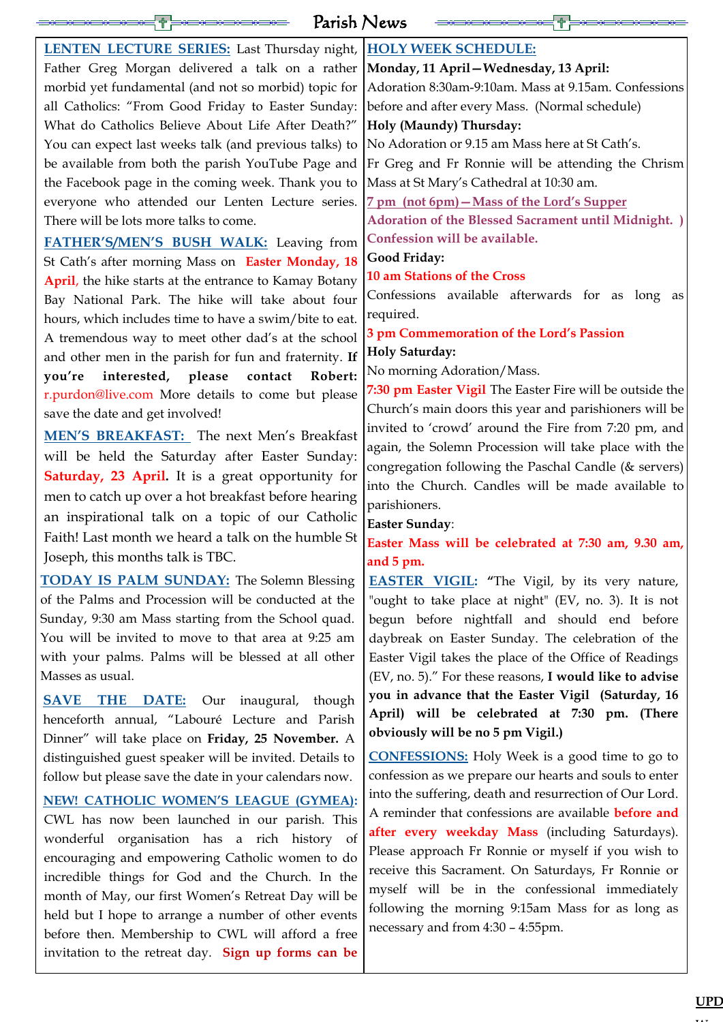distinguished guest speaker will be invited. Details to

follow but please save the date in your calendars now.

| <b>LENTEN LECTURE SERIES:</b> Last Thursday night, <b>HOLY WEEK SCHEDULE:</b>                          |                                                                                                           |
|--------------------------------------------------------------------------------------------------------|-----------------------------------------------------------------------------------------------------------|
| Father Greg Morgan delivered a talk on a rather <b>Monday</b> , 11 April - Wednesday, 13 April:        |                                                                                                           |
|                                                                                                        | morbid yet fundamental (and not so morbid) topic for Adoration 8:30am-9:10am. Mass at 9.15am. Confessions |
| all Catholics: "From Good Friday to Easter Sunday: before and after every Mass. (Normal schedule)      |                                                                                                           |
| What do Catholics Believe About Life After Death?"   Holy (Maundy) Thursday:                           |                                                                                                           |
| You can expect last weeks talk (and previous talks) to No Adoration or 9.15 am Mass here at St Cath's. |                                                                                                           |
|                                                                                                        | be available from both the parish YouTube Page and Fr Greg and Fr Ronnie will be attending the Chrism     |
| the Facebook page in the coming week. Thank you to  Mass at St Mary's Cathedral at 10:30 am.           |                                                                                                           |
| everyone who attended our Lenten Lecture series. <u>7 pm (not 6pm) – Mass of the Lord's Supper</u>     |                                                                                                           |
| There will be lots more talks to come.                                                                 | <b>Adoration of the Blessed Sacrament until Midnight.</b> )                                               |
| FATHER'S/MEN'S BUSH WALK: Leaving from                                                                 | Confession will be available.                                                                             |
| St Cath's after morning Mass on Easter Monday, 18                                                      | Good Friday:                                                                                              |
| <b>April</b> , the hike starts at the entrance to Kamay Botany                                         | <b>10 am Stations of the Cross</b>                                                                        |
| Bay National Park. The hike will take about four                                                       | Confessions available afterwards for as long as                                                           |
| hours, which includes time to have a swim/bite to eat.                                                 | required.                                                                                                 |
| A tremendous way to meet other dad's at the school                                                     | 3 pm Commemoration of the Lord's Passion                                                                  |
| and other men in the parish for fun and fraternity. If                                                 | <b>Holy Saturday:</b>                                                                                     |
| you're interested, please contact Robert:                                                              | No morning Adoration/Mass.                                                                                |
| r.purdon@live.com More details to come but please                                                      | 7:30 pm Easter Vigil The Easter Fire will be outside the                                                  |
| save the date and get involved!                                                                        | Church's main doors this year and parishioners will be                                                    |
| <b>MEN'S BREAKFAST:</b> The next Men's Breakfast                                                       | invited to 'crowd' around the Fire from 7:20 pm, and                                                      |
| will be held the Saturday after Easter Sunday:                                                         | again, the Solemn Procession will take place with the                                                     |
| <b>Saturday, 23 April.</b> It is a great opportunity for                                               | congregation following the Paschal Candle (& servers)                                                     |
| men to catch up over a hot breakfast before hearing                                                    | into the Church. Candles will be made available to                                                        |
| an inspirational talk on a topic of our Catholic                                                       | parishioners.                                                                                             |
|                                                                                                        | <b>Easter Sunday:</b>                                                                                     |
| Faith! Last month we heard a talk on the humble St                                                     | Easter Mass will be celebrated at 7:30 am, 9.30 am,                                                       |
| Joseph, this months talk is TBC.                                                                       | and $5 \text{ pm}$ .                                                                                      |
| <b>TODAY IS PALM SUNDAY:</b> The Solemn Blessing                                                       | <b>EASTER VIGIL:</b> "The Vigil, by its very nature,                                                      |
| of the Palms and Procession will be conducted at the                                                   | "ought to take place at night" (EV, no. 3). It is not                                                     |
| Sunday, 9:30 am Mass starting from the School quad.                                                    | begun before nightfall and should end before                                                              |
| You will be invited to move to that area at 9:25 am                                                    | daybreak on Easter Sunday. The celebration of the                                                         |
| with your palms. Palms will be blessed at all other                                                    | Easter Vigil takes the place of the Office of Readings                                                    |
| Masses as usual.                                                                                       | (EV, no. 5)." For these reasons, I would like to advise                                                   |
| <b>SAVE THE DATE:</b> Our inaugural, though                                                            | you in advance that the Easter Vigil (Saturday, 16                                                        |
| henceforth annual, "Labouré Lecture and Parish                                                         | April) will be celebrated at 7:30 pm. (There                                                              |
| Dinner" will take place on <b>Friday</b> , 25 November. A                                              | obviously will be no 5 pm Vigil.)                                                                         |

**NEW! CATHOLIC WOMEN'S LEAGUE (GYMEA):**  CWL has now been launched in our parish. This wonderful organisation has a rich history of encouraging and empowering Catholic women to do incredible things for God and the Church. In the month of May, our first Women's Retreat Day will be held but I hope to arrange a number of other events before then. Membership to CWL will afford a free invitation to the retreat day. **Sign up forms can be** 

**CONFESSIONS:** Holy Week is a good time to go to confession as we prepare our hearts and souls to enter into the suffering, death and resurrection of Our Lord. A reminder that confessions are available **before and after every weekday Mass** (including Saturdays). Please approach Fr Ronnie or myself if you wish to receive this Sacrament. On Saturdays, Fr Ronnie or myself will be in the confessional immediately following the morning 9:15am Mass for as long as necessary and from 4:30 – 4:55pm.

|  |     | . . |  |
|--|-----|-----|--|
|  | ——— | —س  |  |
|  |     |     |  |
|  |     |     |  |

Parish News

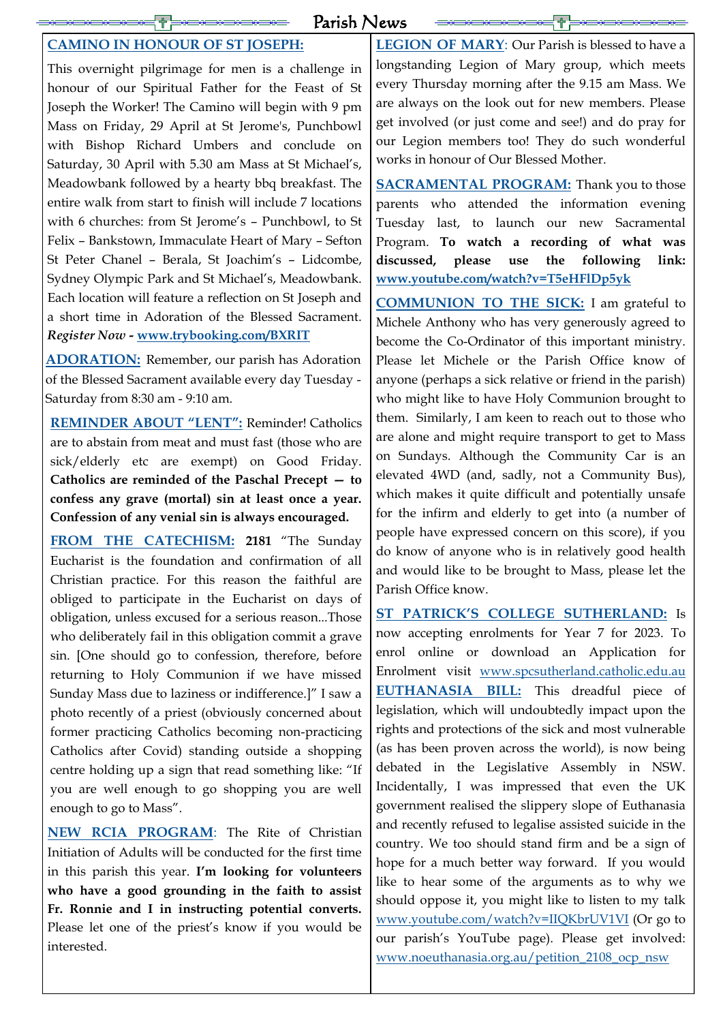Parish News

### **CAMINO IN HONOUR OF ST JOSEPH:**

This overnight pilgrimage for men is a challenge in honour of our Spiritual Father for the Feast of St Joseph the Worker! The Camino will begin with 9 pm Mass on Friday, 29 April at St Jerome's, Punchbowl with Bishop Richard Umbers and conclude on Saturday, 30 April with 5.30 am Mass at St Michael's, Meadowbank followed by a hearty bbq breakfast. The entire walk from start to finish will include 7 locations with 6 churches: from St Jerome's - Punchbowl, to St Felix – Bankstown, Immaculate Heart of Mary – Sefton St Peter Chanel – Berala, St Joachim's – Lidcombe, Sydney Olympic Park and St Michael's, Meadowbank. Each location will feature a reflection on St Joseph and a short time in Adoration of the Blessed Sacrament. *Register Now -* **[www.trybooking.com/BXRIT](https://www.trybooking.com/BXRIT)**

**ADORATION:** Remember, our parish has Adoration of the Blessed Sacrament available every day Tuesday - Saturday from 8:30 am - 9:10 am.

**REMINDER ABOUT "LENT":** Reminder! Catholics are to abstain from meat and must fast (those who are sick/elderly etc are exempt) on Good Friday. **Catholics are reminded of the Paschal Precept — to confess any grave (mortal) sin at least once a year. Confession of any venial sin is always encouraged.** 

**SACRAMENTAL PROGRAM:** Thank you to those parents who attended the information evening Tuesday last, to launch our new Sacramental Program. **To watch a recording of what was discussed, please use the following link: [www.youtube.com/watch?v=T5eHFlDp5yk](http://www.youtube.com/watch?v=T5eHFlDp5yk)**

**FROM THE CATECHISM: 2181** "The Sunday Eucharist is the foundation and confirmation of all Christian practice. For this reason the faithful are obliged to participate in the Eucharist on days of obligation, unless excused for a serious reason...Those who deliberately fail in this obligation commit a grave sin. [One should go to confession, therefore, before returning to Holy Communion if we have missed Sunday Mass due to laziness or indifference.]" I saw a photo recently of a priest (obviously concerned about former practicing Catholics becoming non-practicing Catholics after Covid) standing outside a shopping centre holding up a sign that read something like: "If you are well enough to go shopping you are well enough to go to Mass".

**NEW RCIA PROGRAM**: The Rite of Christian Initiation of Adults will be conducted for the first time in this parish this year. **I'm looking for volunteers who have a good grounding in the faith to assist Fr. Ronnie and I in instructing potential converts.** Please let one of the priest's know if you would be interested.

**LEGION OF MARY**: Our Parish is blessed to have a longstanding Legion of Mary group, which meets every Thursday morning after the 9.15 am Mass. We are always on the look out for new members. Please get involved (or just come and see!) and do pray for our Legion members too! They do such wonderful works in honour of Our Blessed Mother.

**COMMUNION TO THE SICK:** I am grateful to Michele Anthony who has very generously agreed to become the Co-Ordinator of this important ministry. Please let Michele or the Parish Office know of anyone (perhaps a sick relative or friend in the parish) who might like to have Holy Communion brought to them. Similarly, I am keen to reach out to those who are alone and might require transport to get to Mass on Sundays. Although the Community Car is an elevated 4WD (and, sadly, not a Community Bus), which makes it quite difficult and potentially unsafe for the infirm and elderly to get into (a number of people have expressed concern on this score), if you do know of anyone who is in relatively good health and would like to be brought to Mass, please let the Parish Office know.

**ST PATRICK'S COLLEGE SUTHERLAND:** Is now accepting enrolments for Year 7 for 2023. To enrol online or download an Application for Enrolment visit [www.spcsutherland.catholic.edu.au](http://www.spcsutherland.catholic.edu.au) **EUTHANASIA BILL:** This dreadful piece of legislation, which will undoubtedly impact upon the rights and protections of the sick and most vulnerable (as has been proven across the world), is now being debated in the Legislative Assembly in NSW. Incidentally, I was impressed that even the UK government realised the slippery slope of Euthanasia and recently refused to legalise assisted suicide in the country. We too should stand firm and be a sign of hope for a much better way forward. If you would like to hear some of the arguments as to why we should oppose it, you might like to listen to my talk [www.youtube.com/watch?v=IIQKbrUV1VI](http://www.youtube.com/watch?v=IIQKbrUV1VI) (Or go to our parish's YouTube page). Please get involved: [www.noeuthanasia.org.au/petition\\_2108\\_ocp\\_nsw](https://www.noeuthanasia.org.au/petition_2108_ocp_nsw?fbclid=IwAR18cRqaBaN1wLcM5iSon8wAcI_62vkMm1KVG0_zKy5ZPT0N2WgU8B87YYI)